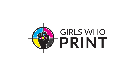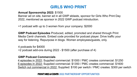# **GIRLS WHO PRINT**

## **Annual Sponsorship 2022:** \$1500

Banner ad on site, banner ad in all GWP eblasts, sponsor for Girls Who Print Day 2022, mentioned as sponsor in 2022 GWP podcast introduction.

+1 podcast with up to 3 women from your company: \$2000

**GWP Podcast Episodes** Produced, edited, promoted and shared through Print Media Centr channels. Embed code provided for podcast player. Drive traffic your way for listening. Repurpose in blogs. Women employees/guests, only.

4 podcasts for \$4000 +2 podcast add-ons during 2022 - \$1500 (after purchase of 4)

## **GWP Podcast Commercials**

4 episodes in 2022: Supplied commercial: \$1000 / PMC creates commercial: \$1250 6 episodes in 2022: Supplied commercial: \$1350 / PMC creates commercial: \$1600 Switch out commercial in 2022: Supplied: \$100 per switch / PMC creates: \$300 per switch

### **PRINT MEDIA CENTS 2022 PARTNERSHIP OPPORTUN**